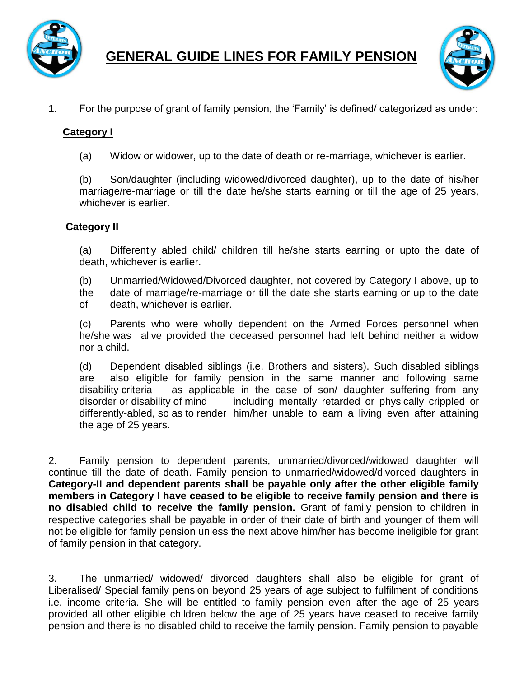

**GENERAL GUIDE LINES FOR FAMILY PENSION**



1. For the purpose of grant of family pension, the 'Family' is defined/ categorized as under:

### **Category I**

(a) Widow or widower, up to the date of death or re-marriage, whichever is earlier.

(b) Son/daughter (including widowed/divorced daughter), up to the date of his/her marriage/re-marriage or till the date he/she starts earning or till the age of 25 years, whichever is earlier.

#### **Category II**

(a) Differently abled child/ children till he/she starts earning or upto the date of death, whichever is earlier.

(b) Unmarried/Widowed/Divorced daughter, not covered by Category I above, up to

the date of marriage/re-marriage or till the date she starts earning or up to the date of death, whichever is earlier.

(c) Parents who were wholly dependent on the Armed Forces personnel when he/she was alive provided the deceased personnel had left behind neither a widow nor a child.

(d) Dependent disabled siblings (i.e. Brothers and sisters). Such disabled siblings are also eligible for family pension in the same manner and following same disability criteria as applicable in the case of son/ daughter suffering from any disorder or disability of mind including mentally retarded or physically crippled or differently-abled, so as to render him/her unable to earn a living even after attaining the age of 25 years.

2. Family pension to dependent parents, unmarried/divorced/widowed daughter will continue till the date of death. Family pension to unmarried/widowed/divorced daughters in **Category-II and dependent parents shall be payable only after the other eligible family members in Category I have ceased to be eligible to receive family pension and there is no disabled child to receive the family pension.** Grant of family pension to children in respective categories shall be payable in order of their date of birth and younger of them will not be eligible for family pension unless the next above him/her has become ineligible for grant of family pension in that category.

3. The unmarried/ widowed/ divorced daughters shall also be eligible for grant of Liberalised/ Special family pension beyond 25 years of age subject to fulfilment of conditions i.e. income criteria. She will be entitled to family pension even after the age of 25 years provided all other eligible children below the age of 25 years have ceased to receive family pension and there is no disabled child to receive the family pension. Family pension to payable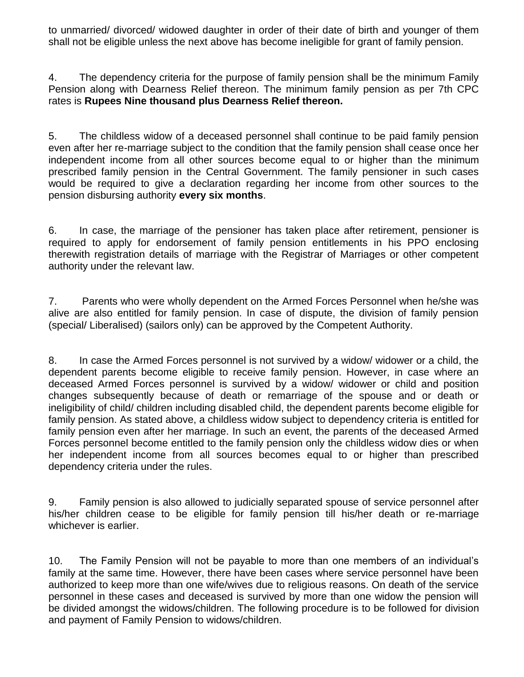to unmarried/ divorced/ widowed daughter in order of their date of birth and younger of them shall not be eligible unless the next above has become ineligible for grant of family pension.

4. The dependency criteria for the purpose of family pension shall be the minimum Family Pension along with Dearness Relief thereon. The minimum family pension as per 7th CPC rates is **Rupees Nine thousand plus Dearness Relief thereon.** 

5. The childless widow of a deceased personnel shall continue to be paid family pension even after her re-marriage subject to the condition that the family pension shall cease once her independent income from all other sources become equal to or higher than the minimum prescribed family pension in the Central Government. The family pensioner in such cases would be required to give a declaration regarding her income from other sources to the pension disbursing authority **every six months**.

6. In case, the marriage of the pensioner has taken place after retirement, pensioner is required to apply for endorsement of family pension entitlements in his PPO enclosing therewith registration details of marriage with the Registrar of Marriages or other competent authority under the relevant law.

7. Parents who were wholly dependent on the Armed Forces Personnel when he/she was alive are also entitled for family pension. In case of dispute, the division of family pension (special/ Liberalised) (sailors only) can be approved by the Competent Authority.

8. In case the Armed Forces personnel is not survived by a widow/ widower or a child, the dependent parents become eligible to receive family pension. However, in case where an deceased Armed Forces personnel is survived by a widow/ widower or child and position changes subsequently because of death or remarriage of the spouse and or death or ineligibility of child/ children including disabled child, the dependent parents become eligible for family pension. As stated above, a childless widow subject to dependency criteria is entitled for family pension even after her marriage. In such an event, the parents of the deceased Armed Forces personnel become entitled to the family pension only the childless widow dies or when her independent income from all sources becomes equal to or higher than prescribed dependency criteria under the rules.

9. Family pension is also allowed to judicially separated spouse of service personnel after his/her children cease to be eligible for family pension till his/her death or re-marriage whichever is earlier.

10. The Family Pension will not be payable to more than one members of an individual's family at the same time. However, there have been cases where service personnel have been authorized to keep more than one wife/wives due to religious reasons. On death of the service personnel in these cases and deceased is survived by more than one widow the pension will be divided amongst the widows/children. The following procedure is to be followed for division and payment of Family Pension to widows/children.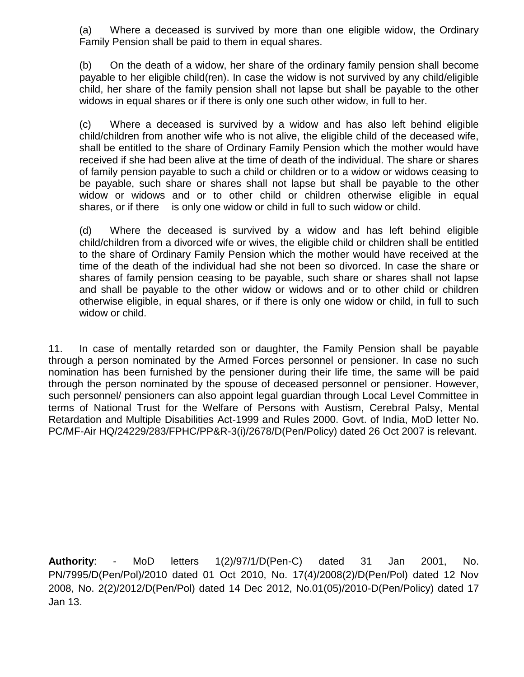(a) Where a deceased is survived by more than one eligible widow, the Ordinary Family Pension shall be paid to them in equal shares.

(b) On the death of a widow, her share of the ordinary family pension shall become payable to her eligible child(ren). In case the widow is not survived by any child/eligible child, her share of the family pension shall not lapse but shall be payable to the other widows in equal shares or if there is only one such other widow, in full to her.

(c) Where a deceased is survived by a widow and has also left behind eligible child/children from another wife who is not alive, the eligible child of the deceased wife, shall be entitled to the share of Ordinary Family Pension which the mother would have received if she had been alive at the time of death of the individual. The share or shares of family pension payable to such a child or children or to a widow or widows ceasing to be payable, such share or shares shall not lapse but shall be payable to the other widow or widows and or to other child or children otherwise eligible in equal shares, or if there is only one widow or child in full to such widow or child.

(d) Where the deceased is survived by a widow and has left behind eligible child/children from a divorced wife or wives, the eligible child or children shall be entitled to the share of Ordinary Family Pension which the mother would have received at the time of the death of the individual had she not been so divorced. In case the share or shares of family pension ceasing to be payable, such share or shares shall not lapse and shall be payable to the other widow or widows and or to other child or children otherwise eligible, in equal shares, or if there is only one widow or child, in full to such widow or child.

11. In case of mentally retarded son or daughter, the Family Pension shall be payable through a person nominated by the Armed Forces personnel or pensioner. In case no such nomination has been furnished by the pensioner during their life time, the same will be paid through the person nominated by the spouse of deceased personnel or pensioner. However, such personnel/ pensioners can also appoint legal guardian through Local Level Committee in terms of National Trust for the Welfare of Persons with Austism, Cerebral Palsy, Mental Retardation and Multiple Disabilities Act-1999 and Rules 2000. Govt. of India, MoD letter No. PC/MF-Air HQ/24229/283/FPHC/PP&R-3(i)/2678/D(Pen/Policy) dated 26 Oct 2007 is relevant.

**Authority**: - MoD letters 1(2)/97/1/D(Pen-C) dated 31 Jan 2001, No. PN/7995/D(Pen/Pol)/2010 dated 01 Oct 2010, No. 17(4)/2008(2)/D(Pen/Pol) dated 12 Nov 2008, No. 2(2)/2012/D(Pen/Pol) dated 14 Dec 2012, No.01(05)/2010-D(Pen/Policy) dated 17 Jan 13.